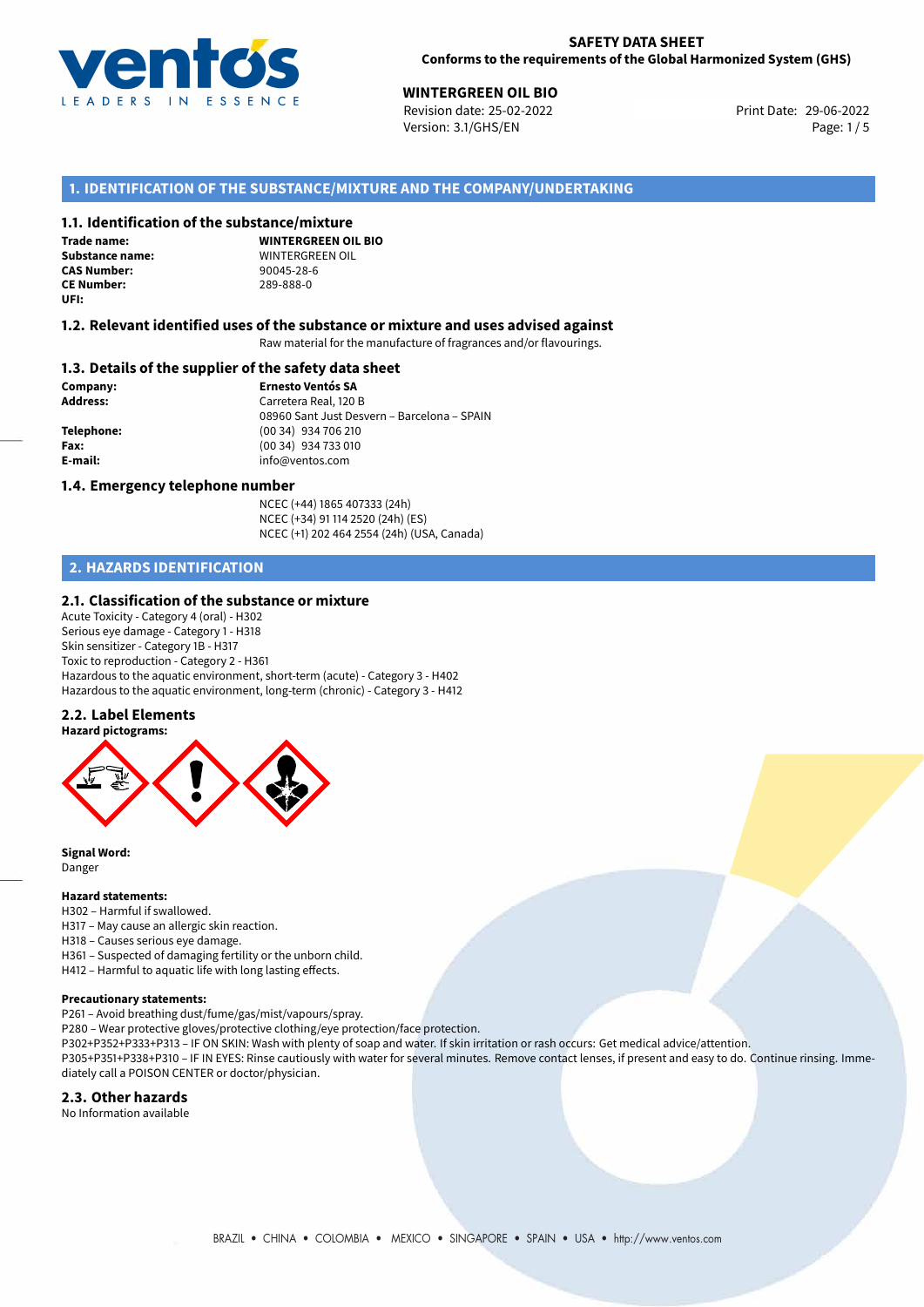

29-06-2022 **WINTERGREEN OIL BIO** Revision date: 25-02-2022 Print Date: Version: 3.1/GHS/EN Page: 1 / 5

## **1. IDENTIFICATION OF THE SUBSTANCE/MIXTURE AND THE COMPANY/UNDERTAKING**

### **1.1. Identification of the substance/mixture**

**Trade name: CAS Number: CE Number:** 289-888-0 **UFI:**

**WINTERGREEN OIL BIO Substance name:** WINTERGREEN OIL

#### **1.2. Relevant identified uses of the substance or mixture and uses advised against**

Raw material for the manufacture of fragrances and/or flavourings.

### **1.3. Details of the supplier of the safety data sheet**

**Company: Ernesto Ventós SA Address:** Carretera Real, 120 B 08960 Sant Just Desvern – Barcelona – SPAIN **Telephone:** (00 34) 934 706 210 **Fax:** (00 34) 934 733 010 **E-mail:** info@ventos.com

#### **1.4. Emergency telephone number**

NCEC (+44) 1865 407333 (24h) NCEC (+34) 91 114 2520 (24h) (ES) NCEC (+1) 202 464 2554 (24h) (USA, Canada)

## **2. HAZARDS IDENTIFICATION**

#### **2.1. Classification of the substance or mixture**

Acute Toxicity - Category 4 (oral) - H302 Serious eye damage - Category 1 - H318 Skin sensitizer - Category 1B - H317 Toxic to reproduction - Category 2 - H361 Hazardous to the aquatic environment, short-term (acute) - Category 3 - H402 Hazardous to the aquatic environment, long-term (chronic) - Category 3 - H412

## **2.2. Label Elements**



**Signal Word:** Danger

#### **Hazard statements:**

H302 – Harmful if swallowed.

- H317 May cause an allergic skin reaction.
- H318 Causes serious eye damage.
- H361 Suspected of damaging fertility or the unborn child.
- H412 Harmful to aquatic life with long lasting effects.

diately call a POISON CENTER or doctor/physician.

#### **Precautionary statements:**

P261 – Avoid breathing dust/fume/gas/mist/vapours/spray.

- P280 Wear protective gloves/protective clothing/eye protection/face protection.
- P302+P352+P333+P313 IF ON SKIN: Wash with plenty of soap and water. If skin irritation or rash occurs: Get medical advice/attention. P305+P351+P338+P310 – IF IN EYES: Rinse cautiously with water for several minutes. Remove contact lenses, if present and easy to do. Continue rinsing. Imme-

**2.3. Other hazards**

No Information available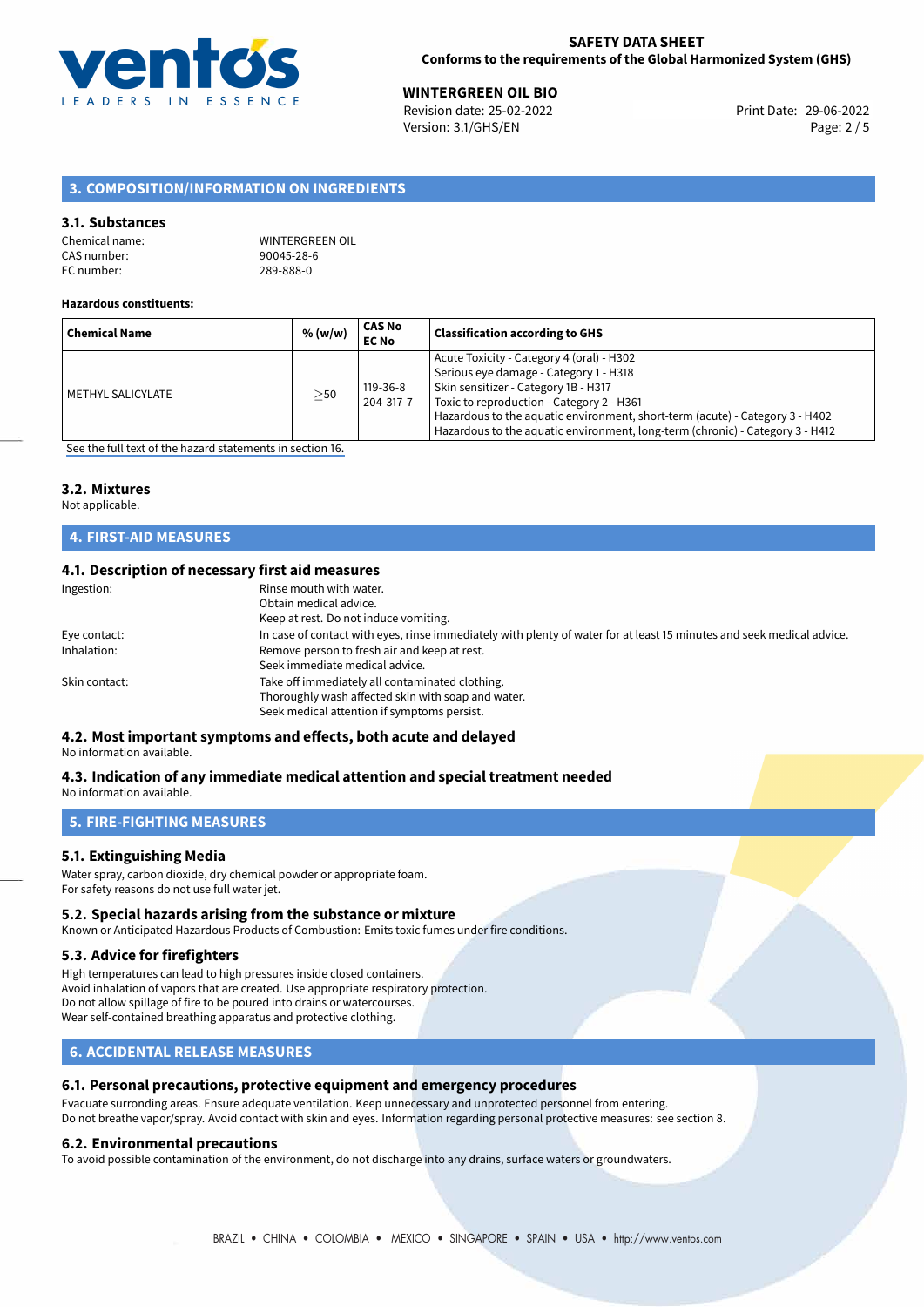

**WINTERGREEN OIL BIO**<br> **Revision date: 25-02-2022** Print Date: 29-06-2022 Version: 3.1/GHS/EN Page: 2 / 5

## **3. COMPOSITION/INFORMATION ON INGREDIENTS**

### **3.1. Substances**

| Chemical name: |  |
|----------------|--|
| CAS number:    |  |
| EC number:     |  |

WINTERGREEN OIL 90045-28-6 EC number: 289-888-0

#### **Hazardous constituents:**

| <b>Chemical Name</b> | % (w/w)   | <b>CAS No</b><br><b>EC No</b> | <b>Classification according to GHS</b>                                                                                                                                                                                                                                                                                                    |
|----------------------|-----------|-------------------------------|-------------------------------------------------------------------------------------------------------------------------------------------------------------------------------------------------------------------------------------------------------------------------------------------------------------------------------------------|
| l METHYL SALICYLATE  | $\geq$ 50 | 119-36-8<br>204-317-7         | Acute Toxicity - Category 4 (oral) - H302<br>Serious eye damage - Category 1 - H318<br>Skin sensitizer - Category 1B - H317<br>Toxic to reproduction - Category 2 - H361<br>Hazardous to the aquatic environment, short-term (acute) - Category 3 - H402<br>Hazardous to the aquatic environment, long-term (chronic) - Category 3 - H412 |
|                      |           |                               |                                                                                                                                                                                                                                                                                                                                           |

[See the full text of the hazard statements in section 16.](#page-4-0)

#### **3.2. Mixtures**

Not applicable.

## **4. FIRST-AID MEASURES**

## **4.1. Description of necessary first aid measures**

| Ingestion:    | Rinse mouth with water.<br>Obtain medical advice.<br>Keep at rest. Do not induce vomiting.                                                           |
|---------------|------------------------------------------------------------------------------------------------------------------------------------------------------|
| Eye contact:  | In case of contact with eyes, rinse immediately with plenty of water for at least 15 minutes and seek medical advice.                                |
| Inhalation:   | Remove person to fresh air and keep at rest.<br>Seek immediate medical advice.                                                                       |
| Skin contact: | Take off immediately all contaminated clothing.<br>Thoroughly wash affected skin with soap and water.<br>Seek medical attention if symptoms persist. |

# **4.2. Most important symptoms and effects, both acute and delayed**

No information available.

#### **4.3. Indication of any immediate medical attention and special treatment needed** No information available.

**5. FIRE-FIGHTING MEASURES**

## **5.1. Extinguishing Media**

Water spray, carbon dioxide, dry chemical powder or appropriate foam. For safety reasons do not use full water jet.

#### **5.2. Special hazards arising from the substance or mixture**

Known or Anticipated Hazardous Products of Combustion: Emits toxic fumes under fire conditions.

## **5.3. Advice for firefighters**

High temperatures can lead to high pressures inside closed containers. Avoid inhalation of vapors that are created. Use appropriate respiratory protection. Do not allow spillage of fire to be poured into drains or watercourses. Wear self-contained breathing apparatus and protective clothing.

## **6. ACCIDENTAL RELEASE MEASURES**

## **6.1. Personal precautions, protective equipment and emergency procedures**

Evacuate surronding areas. Ensure adequate ventilation. Keep unnecessary and unprotected personnel from entering. Do not breathe vapor/spray. Avoid contact with skin and eyes. Information regarding personal protective measures: see section 8.

#### **6.2. Environmental precautions**

To avoid possible contamination of the environment, do not discharge into any drains, surface waters or groundwaters.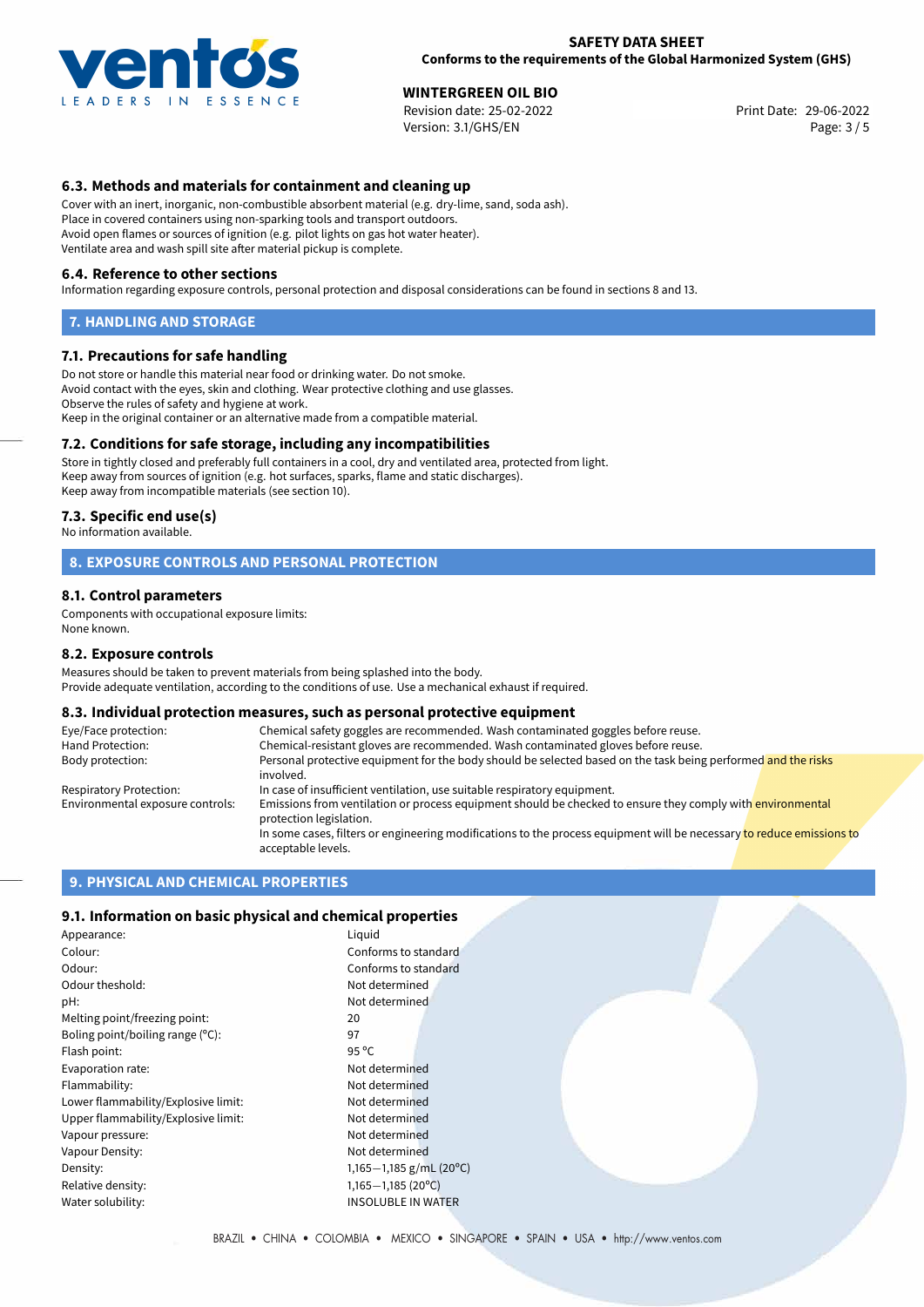

**WINTERGREEN OIL BIO**<br> **Revision date: 25-02-2022** Print Date: 29-06-2022 Version: 3.1/GHS/EN Page: 3 / 5

## **6.3. Methods and materials for containment and cleaning up**

Cover with an inert, inorganic, non-combustible absorbent material (e.g. dry-lime, sand, soda ash). Place in covered containers using non-sparking tools and transport outdoors. Avoid open flames or sources of ignition (e.g. pilot lights on gas hot water heater). Ventilate area and wash spill site after material pickup is complete.

#### **6.4. Reference to other sections**

Information regarding exposure controls, personal protection and disposal considerations can be found in sections 8 and 13.

#### **7. HANDLING AND STORAGE**

#### **7.1. Precautions for safe handling**

Do not store or handle this material near food or drinking water. Do not smoke. Avoid contact with the eyes, skin and clothing. Wear protective clothing and use glasses. Observe the rules of safety and hygiene at work. Keep in the original container or an alternative made from a compatible material.

## **7.2. Conditions for safe storage, including any incompatibilities**

Store in tightly closed and preferably full containers in a cool, dry and ventilated area, protected from light. Keep away from sources of ignition (e.g. hot surfaces, sparks, flame and static discharges). Keep away from incompatible materials (see section 10).

#### **7.3. Specific end use(s)**

No information available.

## **8. EXPOSURE CONTROLS AND PERSONAL PROTECTION**

#### **8.1. Control parameters**

Components with occupational exposure limits: None known.

#### **8.2. Exposure controls**

Measures should be taken to prevent materials from being splashed into the body. Provide adequate ventilation, according to the conditions of use. Use a mechanical exhaust if required.

## **8.3. Individual protection measures, such as personal protective equipment**

| Eye/Face protection:             | Chemical safety goggles are recommended. Wash contaminated goggles before reuse.                                                            |  |  |
|----------------------------------|---------------------------------------------------------------------------------------------------------------------------------------------|--|--|
| Hand Protection:                 | Chemical-resistant gloves are recommended. Wash contaminated gloves before reuse.                                                           |  |  |
| Body protection:                 | Personal protective equipment for the body should be selected based on the task being performed and the risks<br>involved.                  |  |  |
| Respiratory Protection:          | In case of insufficient ventilation, use suitable respiratory equipment.                                                                    |  |  |
| Environmental exposure controls: | Emissions from ventilation or process equipment should be checked to ensure they comply with environmental<br>protection legislation.       |  |  |
|                                  | In some cases, filters or engineering modifications to the process equipment will be necessary to reduce emissions to<br>acceptable levels. |  |  |

## **9. PHYSICAL AND CHEMICAL PROPERTIES**

### **9.1. Information on basic physical and chemical properties**

| Appearance:                         | Liquid                    |
|-------------------------------------|---------------------------|
| Colour:                             | Conforms to standard      |
| Odour:                              | Conforms to standard      |
| Odour theshold:                     | Not determined            |
| pH:                                 | Not determined            |
| Melting point/freezing point:       | 20                        |
| Boling point/boiling range (°C):    | 97                        |
| Flash point:                        | $95^{\circ}$ C            |
| Evaporation rate:                   | Not determined            |
| Flammability:                       | Not determined            |
| Lower flammability/Explosive limit: | Not determined            |
| Upper flammability/Explosive limit: | Not determined            |
| Vapour pressure:                    | Not determined            |
| Vapour Density:                     | Not determined            |
| Density:                            | 1,165-1,185 g/mL (20°C)   |
| Relative density:                   | $1,165 - 1,185$ (20°C)    |
| Water solubility:                   | <b>INSOLUBLE IN WATER</b> |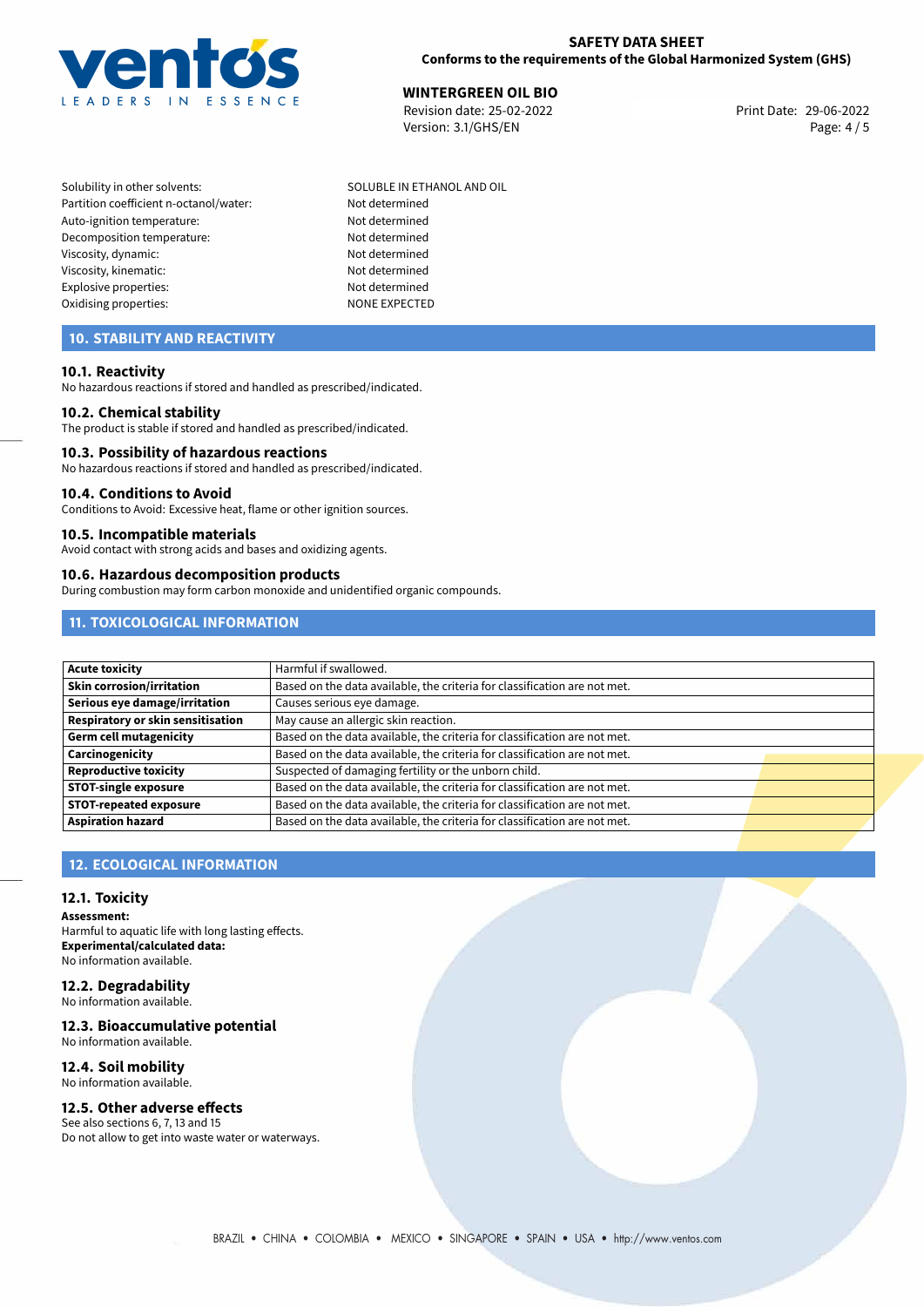

**WINTERGREEN OIL BIO**<br> **Revision date: 25-02-2022** Print Date: 29-06-2022 Version: 3.1/GHS/EN Page: 4 / 5

Solubility in other solvents: SOLUBLE IN ETHANOL AND OIL Partition coefficient n-octanol/water: Not determined Auto-ignition temperature: Not determined Decomposition temperature: Not determined Viscosity, dynamic: Not determined Viscosity, kinematic: Not determined Explosive properties: Not determined Oxidising properties: NONE EXPECTED

## **10. STABILITY AND REACTIVITY**

#### **10.1. Reactivity**

No hazardous reactions if stored and handled as prescribed/indicated.

#### **10.2. Chemical stability**

The product is stable if stored and handled as prescribed/indicated.

#### **10.3. Possibility of hazardous reactions**

No hazardous reactions if stored and handled as prescribed/indicated.

#### **10.4. Conditions to Avoid**

Conditions to Avoid: Excessive heat, flame or other ignition sources.

#### **10.5. Incompatible materials**

Avoid contact with strong acids and bases and oxidizing agents.

#### **10.6. Hazardous decomposition products**

During combustion may form carbon monoxide and unidentified organic compounds.

## **11. TOXICOLOGICAL INFORMATION**

| Acute toxicity                           | Harmful if swallowed.                                                     |  |
|------------------------------------------|---------------------------------------------------------------------------|--|
| Skin corrosion/irritation                | Based on the data available, the criteria for classification are not met. |  |
| Serious eye damage/irritation            | Causes serious eye damage.                                                |  |
| <b>Respiratory or skin sensitisation</b> | May cause an allergic skin reaction.                                      |  |
| Germ cell mutagenicity                   | Based on the data available, the criteria for classification are not met. |  |
| <b>Carcinogenicity</b>                   | Based on the data available, the criteria for classification are not met. |  |
| Reproductive toxicity                    | Suspected of damaging fertility or the unborn child.                      |  |
| <b>STOT-single exposure</b>              | Based on the data available, the criteria for classification are not met. |  |
| <b>STOT-repeated exposure</b>            | Based on the data available, the criteria for classification are not met. |  |
| <b>Aspiration hazard</b>                 | Based on the data available, the criteria for classification are not met. |  |

## **12. ECOLOGICAL INFORMATION**

#### **12.1. Toxicity**

**Assessment:** Harmful to aquatic life with long lasting effects. **Experimental/calculated data:** No information available.

# **12.2. Degradability**

No information available.

## **12.3. Bioaccumulative potential**

No information available.

#### **12.4. Soil mobility** No information available.

# **12.5. Other adverse effects**

See also sections 6, 7, 13 and 15 Do not allow to get into waste water or waterways.